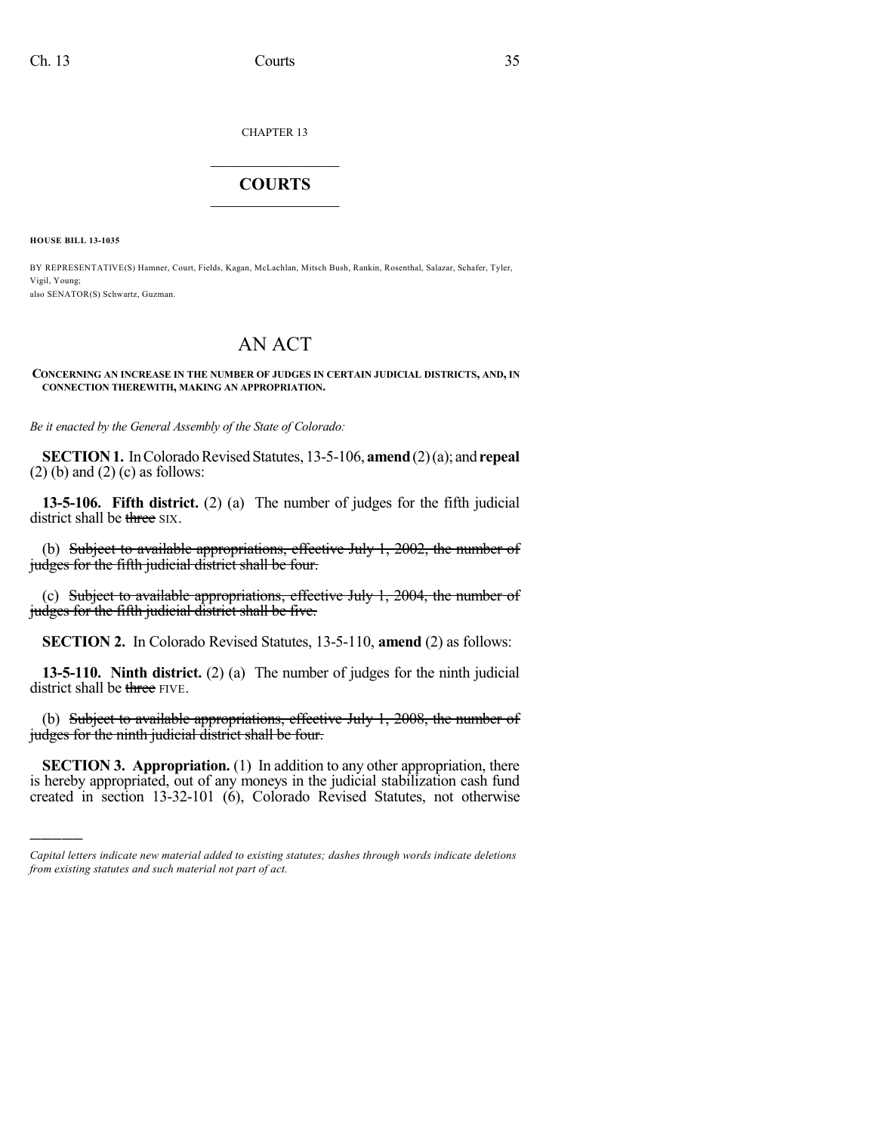CHAPTER 13

## $\mathcal{L}_\text{max}$  . The set of the set of the set of the set of the set of the set of the set of the set of the set of the set of the set of the set of the set of the set of the set of the set of the set of the set of the set **COURTS**  $\_$

**HOUSE BILL 13-1035**

)))))

BY REPRESENTATIVE(S) Hamner, Court, Fields, Kagan, McLachlan, Mitsch Bush, Rankin, Rosenthal, Salazar, Schafer, Tyler, Vigil, Young;

also SENATOR(S) Schwartz, Guzman.

## AN ACT

## **CONCERNING AN INCREASE IN THE NUMBER OF JUDGES IN CERTAIN JUDICIAL DISTRICTS, AND, IN CONNECTION THEREWITH, MAKING AN APPROPRIATION.**

*Be it enacted by the General Assembly of the State of Colorado:*

**SECTION 1.** In Colorado Revised Statutes, 13-5-106, **amend** (2)(a); and **repeal**  $(2)$  (b) and  $(2)$  (c) as follows:

**13-5-106. Fifth district.** (2) (a) The number of judges for the fifth judicial district shall be three SIX.

(b) Subject to available appropriations, effective July 1, 2002, the number of judges for the fifth judicial district shall be four.

(c) Subject to available appropriations, effective July 1, 2004, the number of judges for the fifth judicial district shall be five.

**SECTION 2.** In Colorado Revised Statutes, 13-5-110, **amend** (2) as follows:

**13-5-110. Ninth district.** (2) (a) The number of judges for the ninth judicial district shall be three FIVE.

(b) Subject to available appropriations, effective July  $1, 2008$ , the number of judges for the ninth judicial district shall be four.

**SECTION 3. Appropriation.** (1) In addition to any other appropriation, there is hereby appropriated, out of any moneys in the judicial stabilization cash fund created in section 13-32-101 (6), Colorado Revised Statutes, not otherwise

*Capital letters indicate new material added to existing statutes; dashes through words indicate deletions from existing statutes and such material not part of act.*